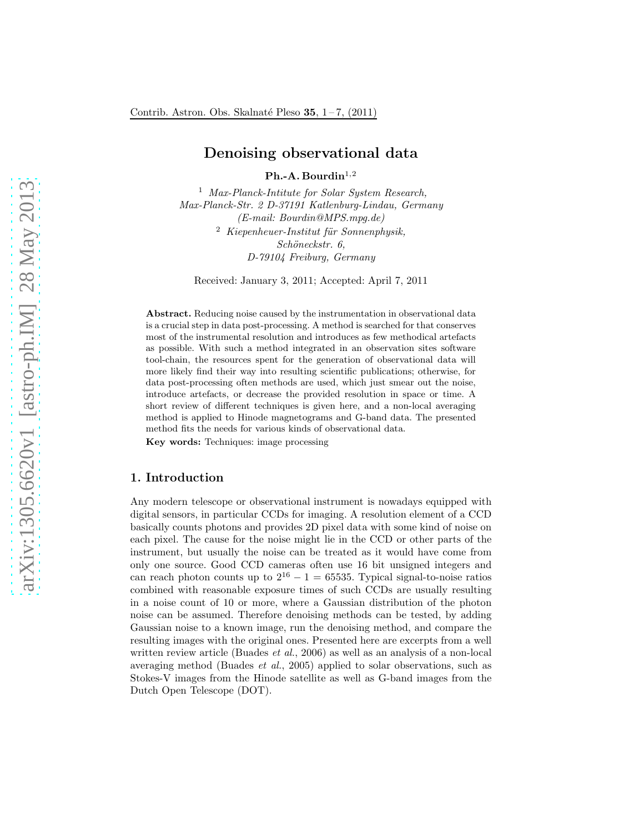# Denoising observational data

 $Ph.-A.$  Bourdin<sup>1,2</sup>

<sup>1</sup> *Max-Planck-Intitute for Solar System Research, Max-Planck-Str. 2 D-37191 Katlenburg-Lindau, Germany (E-mail: Bourdin@MPS.mpg.de)* <sup>2</sup> Kiepenheuer-Institut für Sonnenphysik, *Sch¨oneckstr. 6, D-79104 Freiburg, Germany*

Received: January 3, 2011; Accepted: April 7, 2011

Abstract. Reducing noise caused by the instrumentation in observational data is a crucial step in data post-processing. A method is searched for that conserves most of the instrumental resolution and introduces as few methodical artefacts as possible. With such a method integrated in an observation sites software tool-chain, the resources spent for the generation of observational data will more likely find their way into resulting scientific publications; otherwise, for data post-processing often methods are used, which just smear out the noise, introduce artefacts, or decrease the provided resolution in space or time. A short review of different techniques is given here, and a non-local averaging method is applied to Hinode magnetograms and G-band data. The presented method fits the needs for various kinds of observational data. Key words: Techniques: image processing

## 1. Introduction

Any modern telescope or observational instrument is nowadays equipped with digital sensors, in particular CCDs for imaging. A resolution element of a CCD basically counts photons and provides 2D pixel data with some kind of noise on each pixel. The cause for the noise might lie in the CCD or other parts of the instrument, but usually the noise can be treated as it would have come from only one source. Good CCD cameras often use 16 bit unsigned integers and can reach photon counts up to  $2^{16} - 1 = 65535$ . Typical signal-to-noise ratios combined with reasonable exposure times of such CCDs are usually resulting in a noise count of 10 or more, where a Gaussian distribution of the photon noise can be assumed. Therefore denoising methods can be tested, by adding Gaussian noise to a known image, run the denoising method, and compare the resulting images with the original ones. Presented here are excerpts from a well written review article (Buades *et al.*, 2006) as well as an analysis of a non-local averaging method (Buades *et al.*, 2005) applied to solar observations, such as Stokes-V images from the Hinode satellite as well as G-band images from the Dutch Open Telescope (DOT).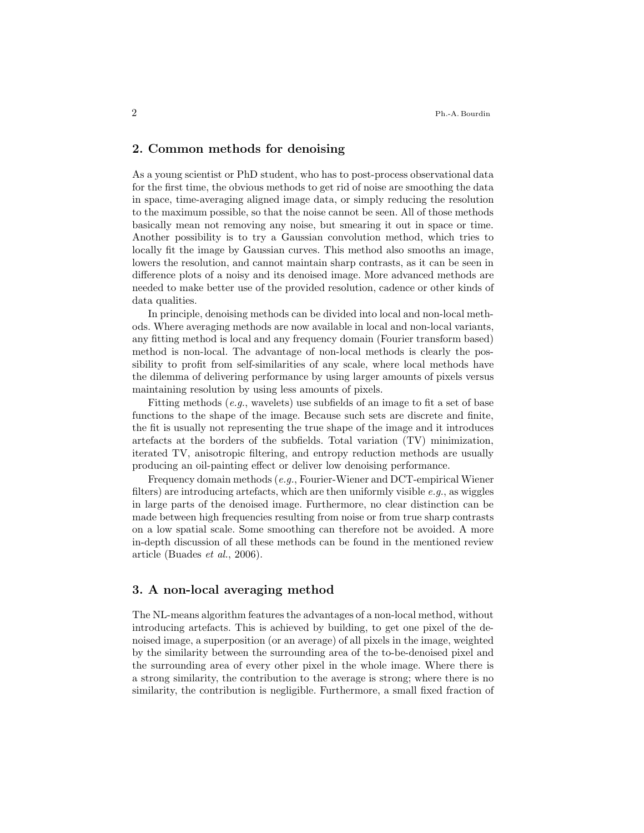### 2. Common methods for denoising

As a young scientist or PhD student, who has to post-process observational data for the first time, the obvious methods to get rid of noise are smoothing the data in space, time-averaging aligned image data, or simply reducing the resolution to the maximum possible, so that the noise cannot be seen. All of those methods basically mean not removing any noise, but smearing it out in space or time. Another possibility is to try a Gaussian convolution method, which tries to locally fit the image by Gaussian curves. This method also smooths an image, lowers the resolution, and cannot maintain sharp contrasts, as it can be seen in difference plots of a noisy and its denoised image. More advanced methods are needed to make better use of the provided resolution, cadence or other kinds of data qualities.

In principle, denoising methods can be divided into local and non-local methods. Where averaging methods are now available in local and non-local variants, any fitting method is local and any frequency domain (Fourier transform based) method is non-local. The advantage of non-local methods is clearly the possibility to profit from self-similarities of any scale, where local methods have the dilemma of delivering performance by using larger amounts of pixels versus maintaining resolution by using less amounts of pixels.

Fitting methods (*e.g.*, wavelets) use subfields of an image to fit a set of base functions to the shape of the image. Because such sets are discrete and finite, the fit is usually not representing the true shape of the image and it introduces artefacts at the borders of the subfields. Total variation (TV) minimization, iterated TV, anisotropic filtering, and entropy reduction methods are usually producing an oil-painting effect or deliver low denoising performance.

Frequency domain methods (*e.g.*, Fourier-Wiener and DCT-empirical Wiener filters) are introducing artefacts, which are then uniformly visible *e.g.*, as wiggles in large parts of the denoised image. Furthermore, no clear distinction can be made between high frequencies resulting from noise or from true sharp contrasts on a low spatial scale. Some smoothing can therefore not be avoided. A more in-depth discussion of all these methods can be found in the mentioned review article (Buades *et al.*, 2006).

## 3. A non-local averaging method

The NL-means algorithm features the advantages of a non-local method, without introducing artefacts. This is achieved by building, to get one pixel of the denoised image, a superposition (or an average) of all pixels in the image, weighted by the similarity between the surrounding area of the to-be-denoised pixel and the surrounding area of every other pixel in the whole image. Where there is a strong similarity, the contribution to the average is strong; where there is no similarity, the contribution is negligible. Furthermore, a small fixed fraction of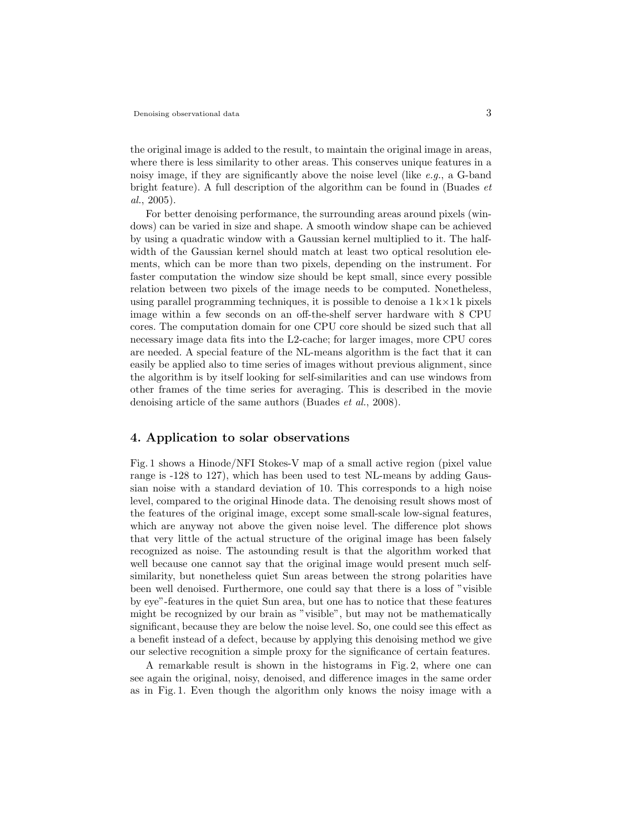the original image is added to the result, to maintain the original image in areas, where there is less similarity to other areas. This conserves unique features in a noisy image, if they are significantly above the noise level (like *e.g.*, a G-band bright feature). A full description of the algorithm can be found in (Buades *et al.*, 2005).

For better denoising performance, the surrounding areas around pixels (windows) can be varied in size and shape. A smooth window shape can be achieved by using a quadratic window with a Gaussian kernel multiplied to it. The halfwidth of the Gaussian kernel should match at least two optical resolution elements, which can be more than two pixels, depending on the instrument. For faster computation the window size should be kept small, since every possible relation between two pixels of the image needs to be computed. Nonetheless, using parallel programming techniques, it is possible to denoise a  $1 \, \mathrm{k} \times 1 \, \mathrm{k}$  pixels image within a few seconds on an off-the-shelf server hardware with 8 CPU cores. The computation domain for one CPU core should be sized such that all necessary image data fits into the L2-cache; for larger images, more CPU cores are needed. A special feature of the NL-means algorithm is the fact that it can easily be applied also to time series of images without previous alignment, since the algorithm is by itself looking for self-similarities and can use windows from other frames of the time series for averaging. This is described in the movie denoising article of the same authors (Buades *et al.*, 2008).

#### 4. Application to solar observations

Fig. 1 shows a Hinode/NFI Stokes-V map of a small active region (pixel value range is -128 to 127), which has been used to test NL-means by adding Gaussian noise with a standard deviation of 10. This corresponds to a high noise level, compared to the original Hinode data. The denoising result shows most of the features of the original image, except some small-scale low-signal features, which are anyway not above the given noise level. The difference plot shows that very little of the actual structure of the original image has been falsely recognized as noise. The astounding result is that the algorithm worked that well because one cannot say that the original image would present much selfsimilarity, but nonetheless quiet Sun areas between the strong polarities have been well denoised. Furthermore, one could say that there is a loss of "visible by eye"-features in the quiet Sun area, but one has to notice that these features might be recognized by our brain as "visible", but may not be mathematically significant, because they are below the noise level. So, one could see this effect as a benefit instead of a defect, because by applying this denoising method we give our selective recognition a simple proxy for the significance of certain features.

A remarkable result is shown in the histograms in Fig. 2, where one can see again the original, noisy, denoised, and difference images in the same order as in Fig. 1. Even though the algorithm only knows the noisy image with a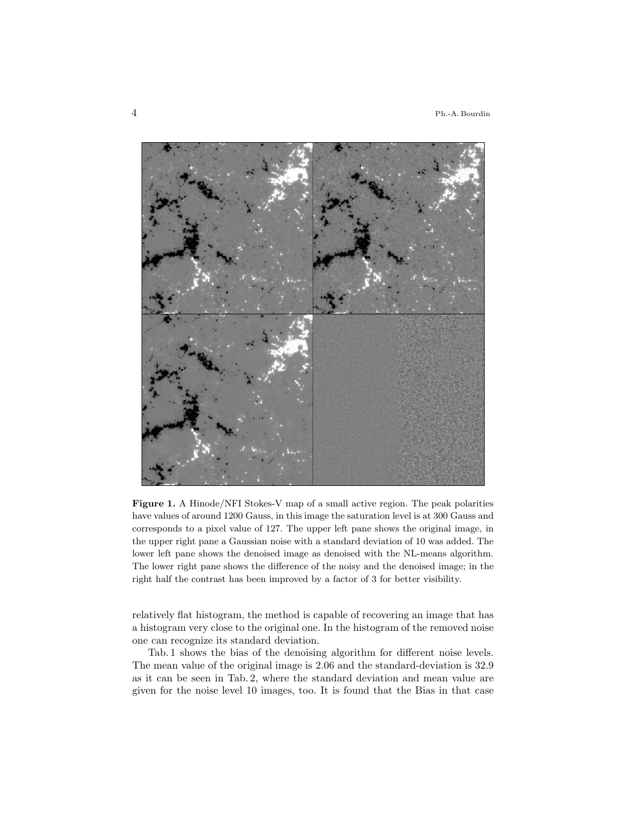

Figure 1. A Hinode/NFI Stokes-V map of a small active region. The peak polarities have values of around 1200 Gauss, in this image the saturation level is at 300 Gauss and corresponds to a pixel value of 127. The upper left pane shows the original image, in the upper right pane a Gaussian noise with a standard deviation of 10 was added. The lower left pane shows the denoised image as denoised with the NL-means algorithm. The lower right pane shows the difference of the noisy and the denoised image; in the right half the contrast has been improved by a factor of 3 for better visibility.

relatively flat histogram, the method is capable of recovering an image that has a histogram very close to the original one. In the histogram of the removed noise one can recognize its standard deviation.

Tab. 1 shows the bias of the denoising algorithm for different noise levels. The mean value of the original image is 2.06 and the standard-deviation is 32.9 as it can be seen in Tab. 2, where the standard deviation and mean value are given for the noise level 10 images, too. It is found that the Bias in that case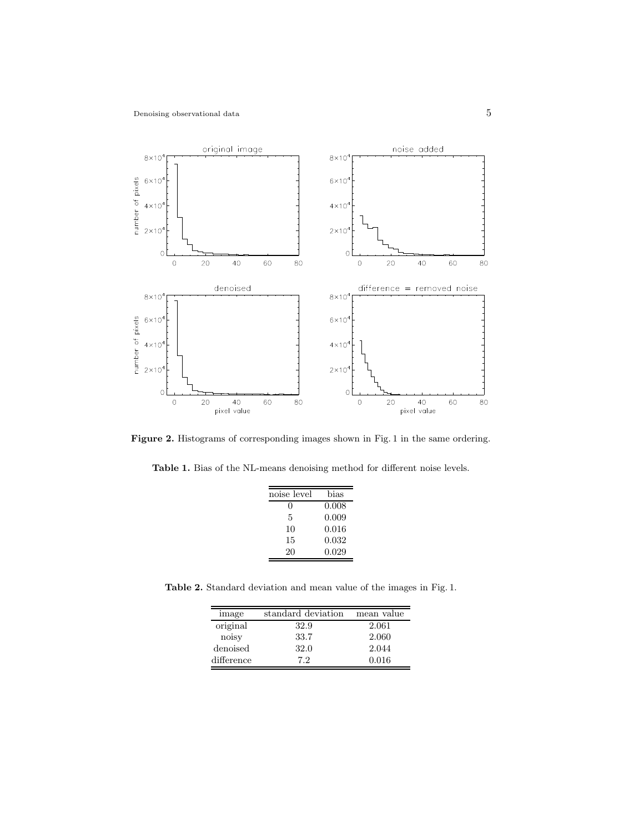

Figure 2. Histograms of corresponding images shown in Fig. 1 in the same ordering.

Table 1. Bias of the NL-means denoising method for different noise levels.

| noise level | bias  |
|-------------|-------|
| 0           | 0.008 |
| 5           | 0.009 |
| 10          | 0.016 |
| 15          | 0.032 |
| 20          | 0.029 |

Table 2. Standard deviation and mean value of the images in Fig. 1.

| image      | standard deviation | mean value |
|------------|--------------------|------------|
| original   | 32.9               | 2.061      |
| noisy      | 33.7               | 2.060      |
| denoised   | 32.0               | 2.044      |
| difference | 7.2                | 0.016      |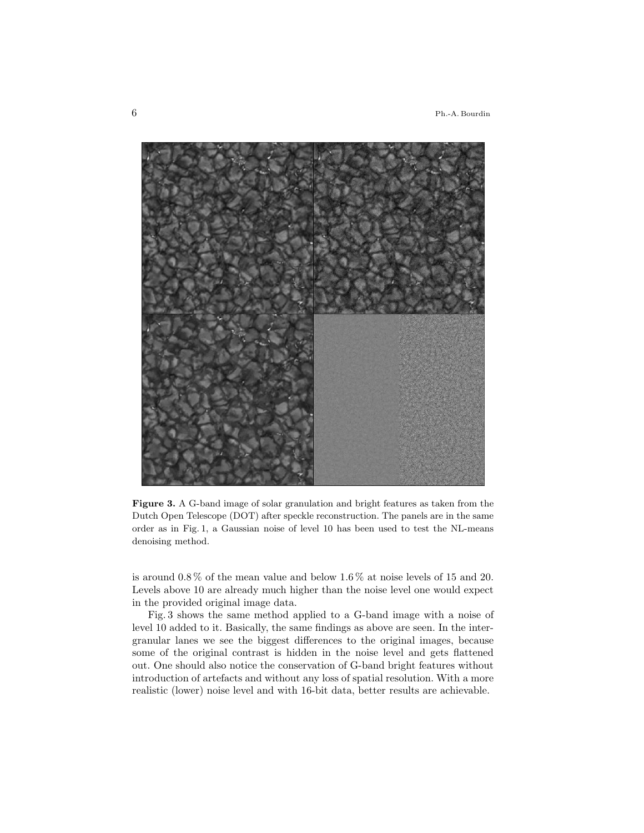6 Ph.-A. Bourdin



Figure 3. A G-band image of solar granulation and bright features as taken from the Dutch Open Telescope (DOT) after speckle reconstruction. The panels are in the same order as in Fig. 1, a Gaussian noise of level 10 has been used to test the NL-means denoising method.

is around 0.8 % of the mean value and below 1.6 % at noise levels of 15 and 20. Levels above 10 are already much higher than the noise level one would expect in the provided original image data.

Fig. 3 shows the same method applied to a G-band image with a noise of level 10 added to it. Basically, the same findings as above are seen. In the intergranular lanes we see the biggest differences to the original images, because some of the original contrast is hidden in the noise level and gets flattened out. One should also notice the conservation of G-band bright features without introduction of artefacts and without any loss of spatial resolution. With a more realistic (lower) noise level and with 16-bit data, better results are achievable.